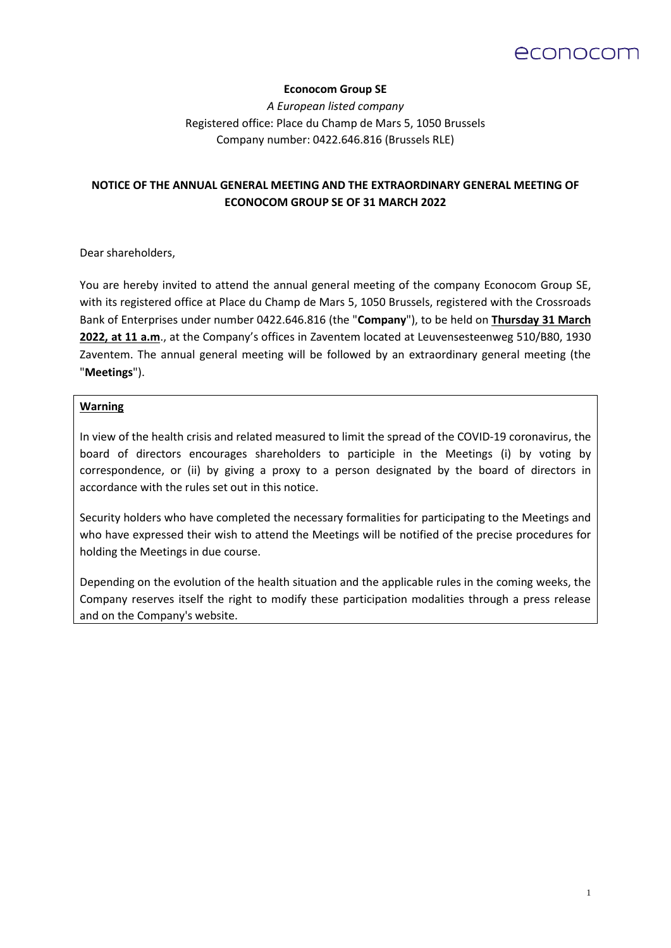# econocom

# **Econocom Group SE**

*A European listed company*  Registered office: Place du Champ de Mars 5, 1050 Brussels Company number: 0422.646.816 (Brussels RLE)

# **NOTICE OF THE ANNUAL GENERAL MEETING AND THE EXTRAORDINARY GENERAL MEETING OF ECONOCOM GROUP SE OF 31 MARCH 2022**

Dear shareholders,

You are hereby invited to attend the annual general meeting of the company Econocom Group SE, with its registered office at Place du Champ de Mars 5, 1050 Brussels, registered with the Crossroads Bank of Enterprises under number 0422.646.816 (the "**Company**"), to be held on **Thursday 31 March 2022, at 11 a.m**., at the Company's offices in Zaventem located at Leuvensesteenweg 510/B80, 1930 Zaventem. The annual general meeting will be followed by an extraordinary general meeting (the "**Meetings**").

#### **Warning**

In view of the health crisis and related measured to limit the spread of the COVID-19 coronavirus, the board of directors encourages shareholders to participle in the Meetings (i) by voting by correspondence, or (ii) by giving a proxy to a person designated by the board of directors in accordance with the rules set out in this notice.

Security holders who have completed the necessary formalities for participating to the Meetings and who have expressed their wish to attend the Meetings will be notified of the precise procedures for holding the Meetings in due course.

Depending on the evolution of the health situation and the applicable rules in the coming weeks, the Company reserves itself the right to modify these participation modalities through a press release and on the Company's website.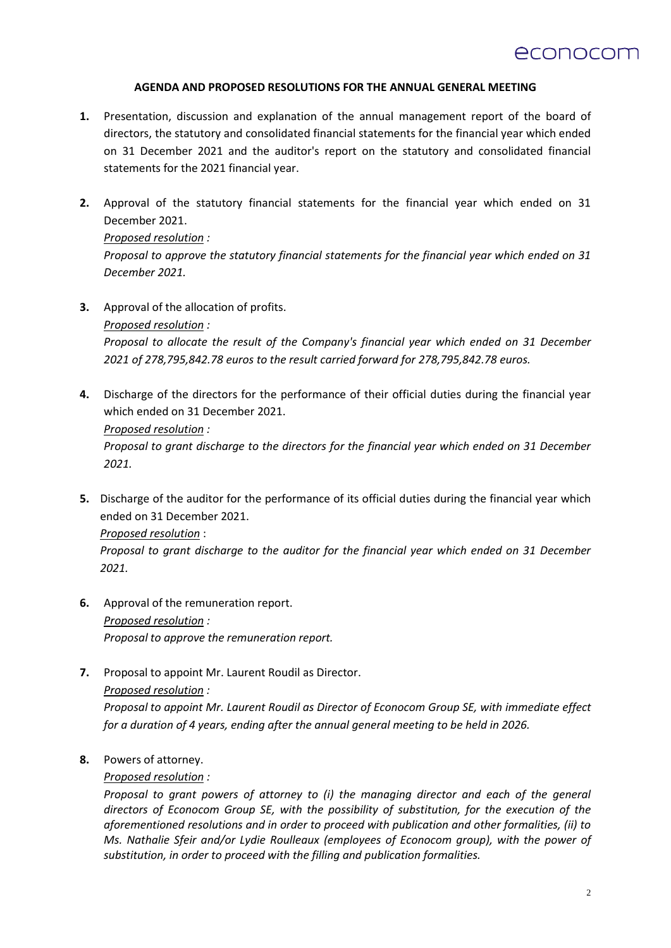

### **AGENDA AND PROPOSED RESOLUTIONS FOR THE ANNUAL GENERAL MEETING**

- **1.** Presentation, discussion and explanation of the annual management report of the board of directors, the statutory and consolidated financial statements for the financial year which ended on 31 December 2021 and the auditor's report on the statutory and consolidated financial statements for the 2021 financial year.
- **2.** Approval of the statutory financial statements for the financial year which ended on 31 December 2021.

*Proposed resolution : Proposal to approve the statutory financial statements for the financial year which ended on 31 December 2021.*

**3.** Approval of the allocation of profits.

*Proposed resolution :*

*Proposal to allocate the result of the Company's financial year which ended on 31 December 2021 of 278,795,842.78 euros to the result carried forward for 278,795,842.78 euros.*

**4.** Discharge of the directors for the performance of their official duties during the financial year which ended on 31 December 2021.

*Proposed resolution :*

*Proposal to grant discharge to the directors for the financial year which ended on 31 December 2021.*

**5.** Discharge of the auditor for the performance of its official duties during the financial year which ended on 31 December 2021.

*Proposed resolution* :

*Proposal to grant discharge to the auditor for the financial year which ended on 31 December 2021.*

- **6.** Approval of the remuneration report. *Proposed resolution : Proposal to approve the remuneration report.*
- **7.** Proposal to appoint Mr. Laurent Roudil as Director. *Proposed resolution :*

*Proposal to appoint Mr. Laurent Roudil as Director of Econocom Group SE, with immediate effect for a duration of 4 years, ending after the annual general meeting to be held in 2026.*

**8.** Powers of attorney.

*Proposed resolution :*

*Proposal to grant powers of attorney to (i) the managing director and each of the general directors of Econocom Group SE, with the possibility of substitution, for the execution of the aforementioned resolutions and in order to proceed with publication and other formalities, (ii) to Ms. Nathalie Sfeir and/or Lydie Roulleaux (employees of Econocom group), with the power of substitution, in order to proceed with the filling and publication formalities.*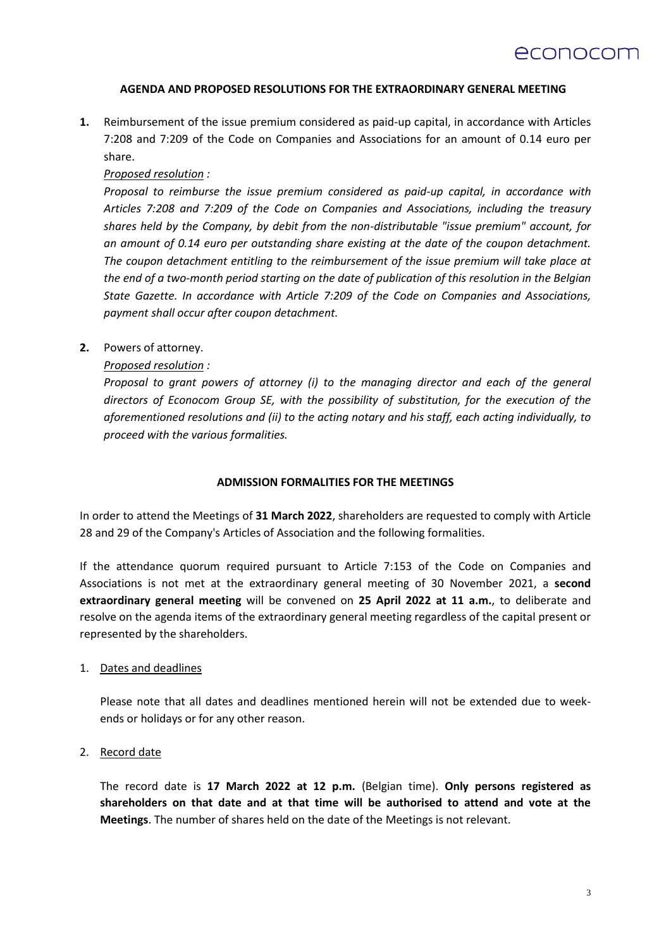#### **AGENDA AND PROPOSED RESOLUTIONS FOR THE EXTRAORDINARY GENERAL MEETING**

**1.** Reimbursement of the issue premium considered as paid-up capital, in accordance with Articles 7:208 and 7:209 of the Code on Companies and Associations for an amount of 0.14 euro per share.

#### *Proposed resolution :*

*Proposal to reimburse the issue premium considered as paid-up capital, in accordance with Articles 7:208 and 7:209 of the Code on Companies and Associations, including the treasury shares held by the Company, by debit from the non-distributable "issue premium" account, for an amount of 0.14 euro per outstanding share existing at the date of the coupon detachment. The coupon detachment entitling to the reimbursement of the issue premium will take place at the end of a two-month period starting on the date of publication of this resolution in the Belgian State Gazette. In accordance with Article 7:209 of the Code on Companies and Associations, payment shall occur after coupon detachment.*

# **2.** Powers of attorney.

# *Proposed resolution :*

*Proposal to grant powers of attorney (i) to the managing director and each of the general directors of Econocom Group SE, with the possibility of substitution, for the execution of the aforementioned resolutions and (ii) to the acting notary and his staff, each acting individually, to proceed with the various formalities.*

#### **ADMISSION FORMALITIES FOR THE MEETINGS**

In order to attend the Meetings of **31 March 2022**, shareholders are requested to comply with Article 28 and 29 of the Company's Articles of Association and the following formalities.

If the attendance quorum required pursuant to Article 7:153 of the Code on Companies and Associations is not met at the extraordinary general meeting of 30 November 2021, a **second extraordinary general meeting** will be convened on **25 April 2022 at 11 a.m.**, to deliberate and resolve on the agenda items of the extraordinary general meeting regardless of the capital present or represented by the shareholders.

#### 1. Dates and deadlines

Please note that all dates and deadlines mentioned herein will not be extended due to weekends or holidays or for any other reason.

#### 2. Record date

The record date is **17 March 2022 at 12 p.m.** (Belgian time). **Only persons registered as shareholders on that date and at that time will be authorised to attend and vote at the Meetings**. The number of shares held on the date of the Meetings is not relevant.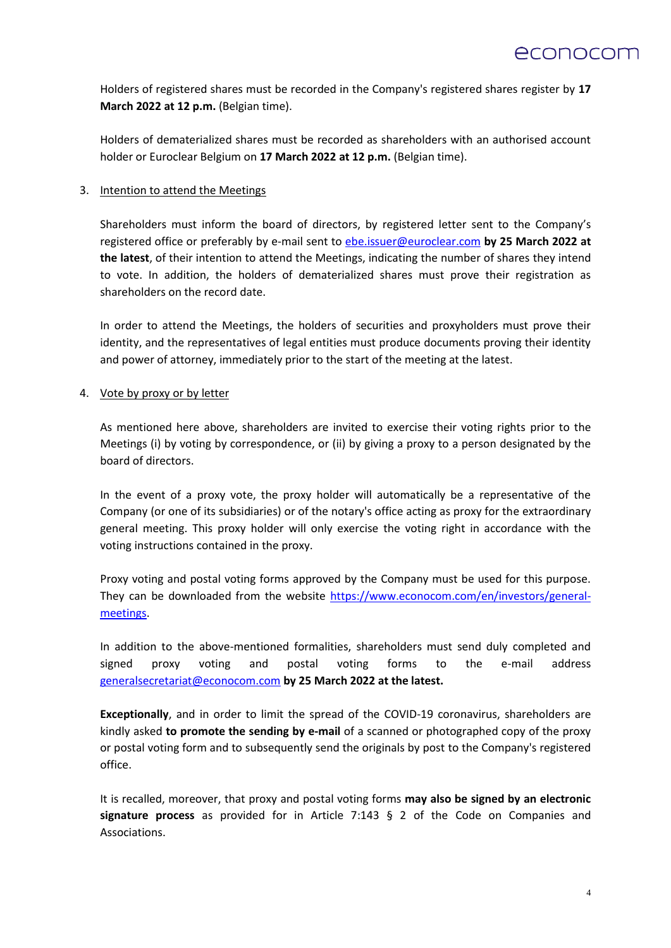Holders of registered shares must be recorded in the Company's registered shares register by **17 March 2022 at 12 p.m.** (Belgian time).

Holders of dematerialized shares must be recorded as shareholders with an authorised account holder or Euroclear Belgium on **17 March 2022 at 12 p.m.** (Belgian time).

# 3. Intention to attend the Meetings

Shareholders must inform the board of directors, by registered letter sent to the Company's registered office or preferably by e-mail sent to ebe.issuer@euroclear.com **by 25 March 2022 at the latest**, of their intention to attend the Meetings, indicating the number of shares they intend to vote. In addition, the holders of dematerialized shares must prove their registration as shareholders on the record date.

In order to attend the Meetings, the holders of securities and proxyholders must prove their identity, and the representatives of legal entities must produce documents proving their identity and power of attorney, immediately prior to the start of the meeting at the latest.

# 4. Vote by proxy or by letter

As mentioned here above, shareholders are invited to exercise their voting rights prior to the Meetings (i) by voting by correspondence, or (ii) by giving a proxy to a person designated by the board of directors.

In the event of a proxy vote, the proxy holder will automatically be a representative of the Company (or one of its subsidiaries) or of the notary's office acting as proxy for the extraordinary general meeting. This proxy holder will only exercise the voting right in accordance with the voting instructions contained in the proxy.

Proxy voting and postal voting forms approved by the Company must be used for this purpose. They can be downloaded from the website [https://www.econocom.com/en/investors/general](https://www.econocom.com/en/investors/general-meetings)[meetings.](https://www.econocom.com/en/investors/general-meetings)

In addition to the above-mentioned formalities, shareholders must send duly completed and signed proxy voting and postal voting forms to the e-mail address [generalsecretariat@econocom.com](mailto:generalsecretariat@econocom.com) **by 25 March 2022 at the latest.** 

**Exceptionally**, and in order to limit the spread of the COVID-19 coronavirus, shareholders are kindly asked **to promote the sending by e-mail** of a scanned or photographed copy of the proxy or postal voting form and to subsequently send the originals by post to the Company's registered office.

It is recalled, moreover, that proxy and postal voting forms **may also be signed by an electronic signature process** as provided for in Article 7:143 § 2 of the Code on Companies and Associations.